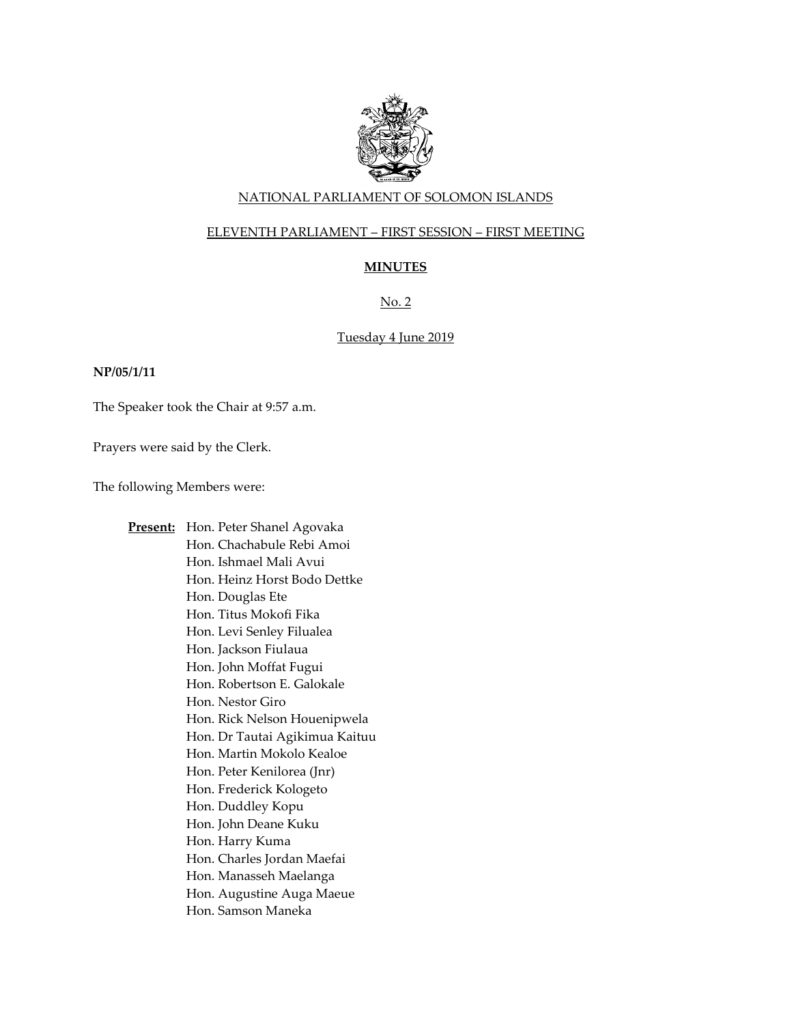

# NATIONAL PARLIAMENT OF SOLOMON ISLANDS

# ELEVENTH PARLIAMENT – FIRST SESSION – FIRST MEETING

# **MINUTES**

No. 2

# Tuesday 4 June 2019

#### **NP/05/1/11**

The Speaker took the Chair at 9:57 a.m.

Prayers were said by the Clerk.

The following Members were:

**Present:** Hon. Peter Shanel Agovaka Hon. Chachabule Rebi Amoi Hon. Ishmael Mali Avui Hon. Heinz Horst Bodo Dettke Hon. Douglas Ete Hon. Titus Mokofi Fika Hon. Levi Senley Filualea Hon. Jackson Fiulaua Hon. John Moffat Fugui Hon. Robertson E. Galokale Hon. Nestor Giro Hon. Rick Nelson Houenipwela Hon. Dr Tautai Agikimua Kaituu Hon. Martin Mokolo Kealoe Hon. Peter Kenilorea (Jnr) Hon. Frederick Kologeto Hon. Duddley Kopu Hon. John Deane Kuku Hon. Harry Kuma Hon. Charles Jordan Maefai Hon. Manasseh Maelanga Hon. Augustine Auga Maeue Hon. Samson Maneka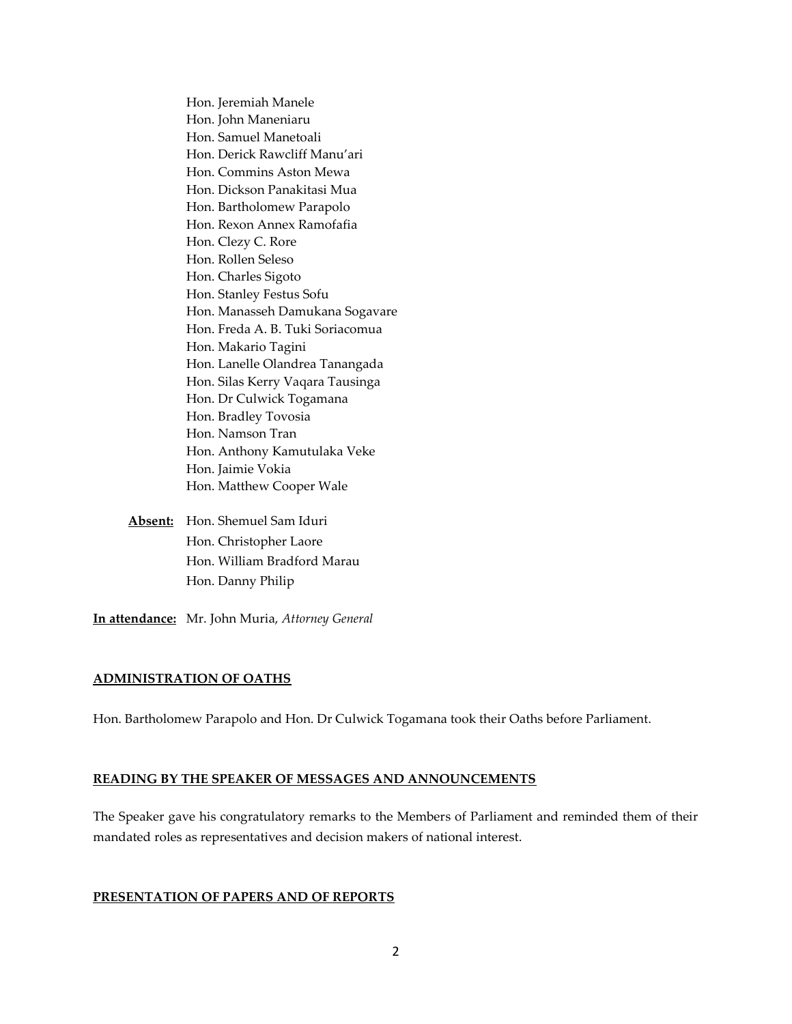Hon. Jeremiah Manele Hon. John Maneniaru Hon. Samuel Manetoali Hon. Derick Rawcliff Manu'ari Hon. Commins Aston Mewa Hon. Dickson Panakitasi Mua Hon. Bartholomew Parapolo Hon. Rexon Annex Ramofafia Hon. Clezy C. Rore Hon. Rollen Seleso Hon. Charles Sigoto Hon. Stanley Festus Sofu Hon. Manasseh Damukana Sogavare Hon. Freda A. B. Tuki Soriacomua Hon. Makario Tagini Hon. Lanelle Olandrea Tanangada Hon. Silas Kerry Vaqara Tausinga Hon. Dr Culwick Togamana Hon. Bradley Tovosia Hon. Namson Tran Hon. Anthony Kamutulaka Veke Hon. Jaimie Vokia Hon. Matthew Cooper Wale

**Absent:** Hon. Shemuel Sam Iduri Hon. Christopher Laore Hon. William Bradford Marau Hon. Danny Philip

**In attendance:** Mr. John Muria, *Attorney General*

### **ADMINISTRATION OF OATHS**

Hon. Bartholomew Parapolo and Hon. Dr Culwick Togamana took their Oaths before Parliament.

### **READING BY THE SPEAKER OF MESSAGES AND ANNOUNCEMENTS**

The Speaker gave his congratulatory remarks to the Members of Parliament and reminded them of their mandated roles as representatives and decision makers of national interest.

#### **PRESENTATION OF PAPERS AND OF REPORTS**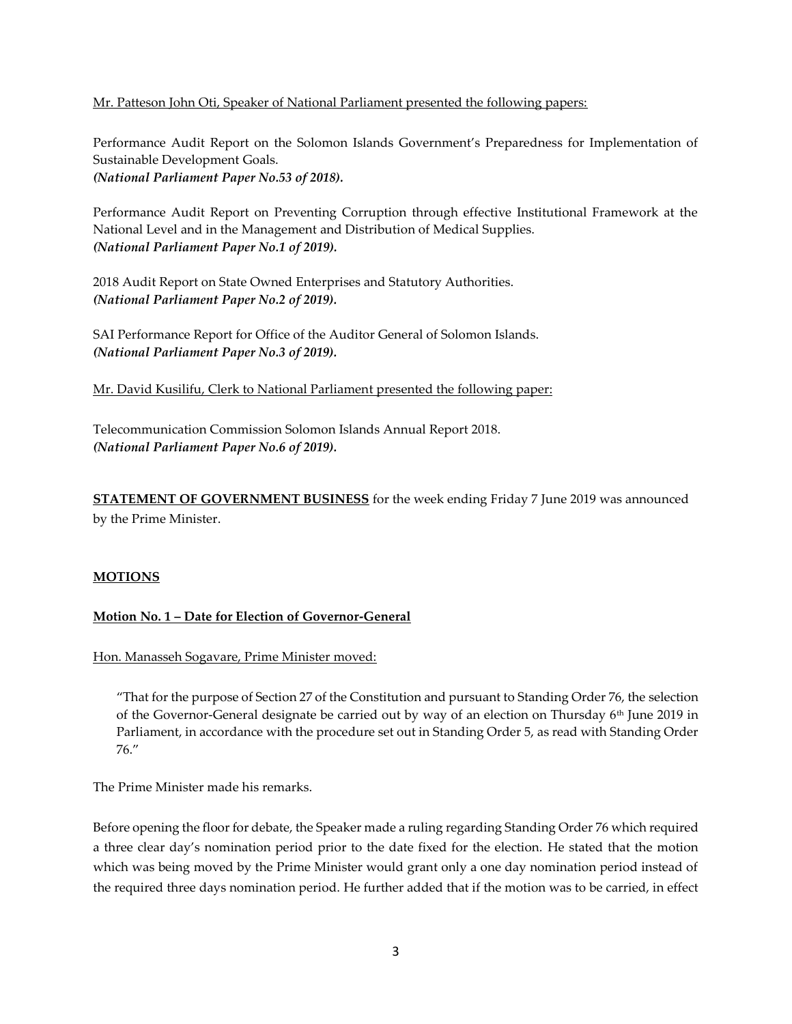Mr. Patteson John Oti, Speaker of National Parliament presented the following papers:

Performance Audit Report on the Solomon Islands Government's Preparedness for Implementation of Sustainable Development Goals.

*(National Parliament Paper No.53 of 2018).* 

Performance Audit Report on Preventing Corruption through effective Institutional Framework at the National Level and in the Management and Distribution of Medical Supplies. *(National Parliament Paper No.1 of 2019).* 

2018 Audit Report on State Owned Enterprises and Statutory Authorities. *(National Parliament Paper No.2 of 2019).* 

SAI Performance Report for Office of the Auditor General of Solomon Islands. *(National Parliament Paper No.3 of 2019).* 

Mr. David Kusilifu, Clerk to National Parliament presented the following paper:

Telecommunication Commission Solomon Islands Annual Report 2018. *(National Parliament Paper No.6 of 2019).* 

**STATEMENT OF GOVERNMENT BUSINESS** for the week ending Friday 7 June 2019 was announced by the Prime Minister.

### **MOTIONS**

# **Motion No. 1 – Date for Election of Governor-General**

Hon. Manasseh Sogavare, Prime Minister moved:

"That for the purpose of Section 27 of the Constitution and pursuant to Standing Order 76, the selection of the Governor-General designate be carried out by way of an election on Thursday 6<sup>th</sup> June 2019 in Parliament, in accordance with the procedure set out in Standing Order 5, as read with Standing Order 76."

The Prime Minister made his remarks.

Before opening the floor for debate, the Speaker made a ruling regarding Standing Order 76 which required a three clear day's nomination period prior to the date fixed for the election. He stated that the motion which was being moved by the Prime Minister would grant only a one day nomination period instead of the required three days nomination period. He further added that if the motion was to be carried, in effect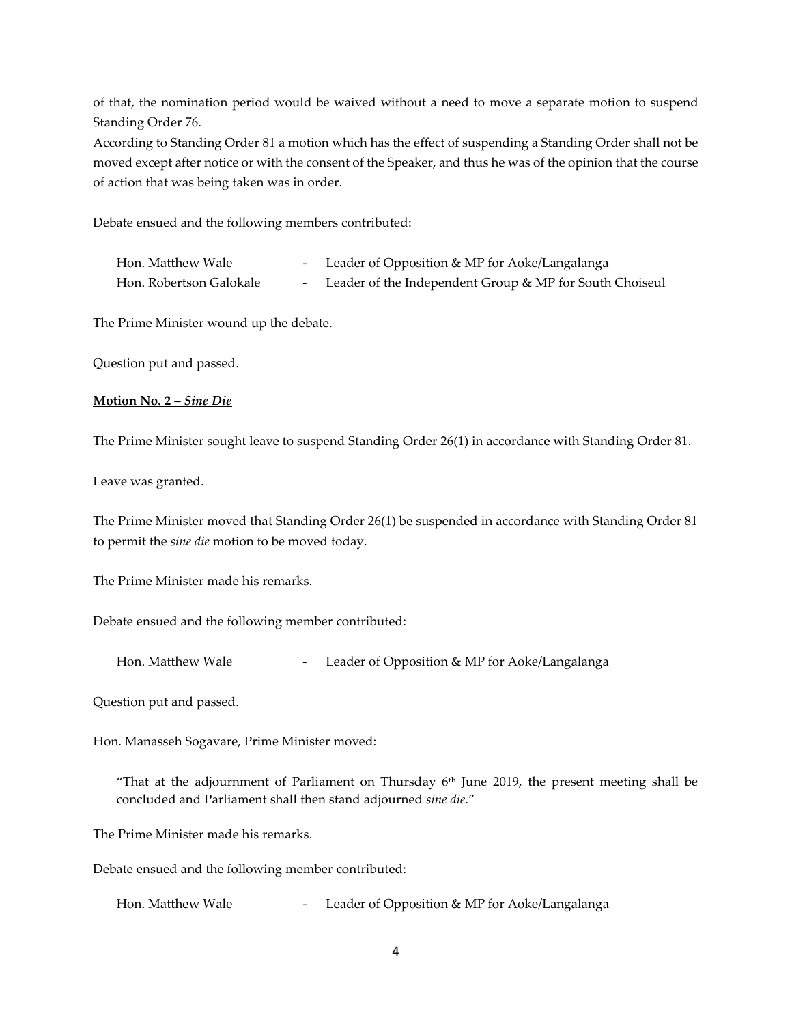of that, the nomination period would be waived without a need to move a separate motion to suspend Standing Order 76.

According to Standing Order 81 a motion which has the effect of suspending a Standing Order shall not be moved except after notice or with the consent of the Speaker, and thus he was of the opinion that the course of action that was being taken was in order.

Debate ensued and the following members contributed:

| Hon. Matthew Wale       | - Leader of Opposition & MP for Aoke/Langalanga           |
|-------------------------|-----------------------------------------------------------|
| Hon. Robertson Galokale | - Leader of the Independent Group & MP for South Choiseul |

The Prime Minister wound up the debate.

Question put and passed.

# **Motion No. 2 –** *Sine Die*

The Prime Minister sought leave to suspend Standing Order 26(1) in accordance with Standing Order 81.

Leave was granted.

The Prime Minister moved that Standing Order 26(1) be suspended in accordance with Standing Order 81 to permit the *sine die* motion to be moved today.

The Prime Minister made his remarks.

Debate ensued and the following member contributed:

Hon. Matthew Wale **- Leader of Opposition & MP** for Aoke/Langalanga

Question put and passed.

### Hon. Manasseh Sogavare, Prime Minister moved:

"That at the adjournment of Parliament on Thursday 6th June 2019, the present meeting shall be concluded and Parliament shall then stand adjourned *sine die*."

The Prime Minister made his remarks.

Debate ensued and the following member contributed:

Hon. Matthew Wale **- Leader of Opposition & MP** for Aoke/Langalanga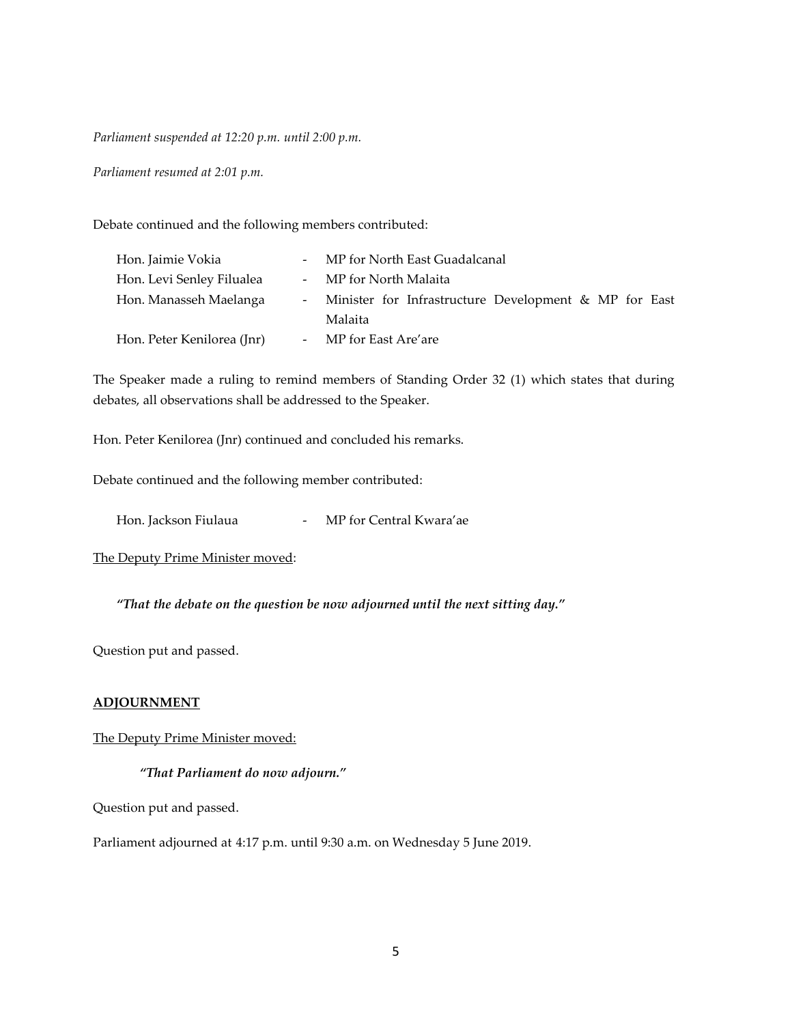*Parliament suspended at 12:20 p.m. until 2:00 p.m.*

*Parliament resumed at 2:01 p.m.*

Debate continued and the following members contributed:

| Hon. Jaimie Vokia          | - MP for North East Guadalcanal                         |
|----------------------------|---------------------------------------------------------|
| Hon. Levi Senley Filualea  | - MP for North Malaita                                  |
| Hon. Manasseh Maelanga     | - Minister for Infrastructure Development & MP for East |
|                            | Malaita                                                 |
| Hon. Peter Kenilorea (Jnr) | - MP for East Are'are                                   |

The Speaker made a ruling to remind members of Standing Order 32 (1) which states that during debates, all observations shall be addressed to the Speaker.

Hon. Peter Kenilorea (Jnr) continued and concluded his remarks.

Debate continued and the following member contributed:

Hon. Jackson Fiulaua - MP for Central Kwara'ae

The Deputy Prime Minister moved:

*"That the debate on the question be now adjourned until the next sitting day."*

Question put and passed.

### **ADJOURNMENT**

#### The Deputy Prime Minister moved:

#### *"That Parliament do now adjourn."*

Question put and passed.

Parliament adjourned at 4:17 p.m. until 9:30 a.m. on Wednesday 5 June 2019.